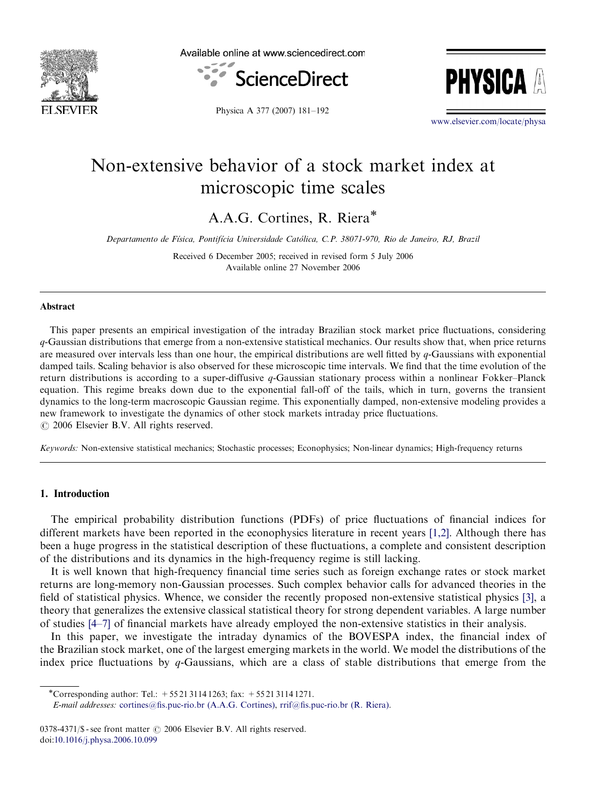

Available online at www.sciencedirect.com





Physica A 377 (2007) 181–192

<www.elsevier.com/locate/physa>

# Non-extensive behavior of a stock market index at microscopic time scales

A.A.G. Cortines, R. Riera\*

Departamento de Física, Pontifícia Universidade Católica, C.P. 38071-970, Rio de Janeiro, RJ, Brazil

Received 6 December 2005; received in revised form 5 July 2006 Available online 27 November 2006

### Abstract

This paper presents an empirical investigation of the intraday Brazilian stock market price fluctuations, considering q-Gaussian distributions that emerge from a non-extensive statistical mechanics. Our results show that, when price returns are measured over intervals less than one hour, the empirical distributions are well fitted by q-Gaussians with exponential damped tails. Scaling behavior is also observed for these microscopic time intervals. We find that the time evolution of the return distributions is according to a super-diffusive q-Gaussian stationary process within a nonlinear Fokker–Planck equation. This regime breaks down due to the exponential fall-off of the tails, which in turn, governs the transient dynamics to the long-term macroscopic Gaussian regime. This exponentially damped, non-extensive modeling provides a new framework to investigate the dynamics of other stock markets intraday price fluctuations.  $O$  2006 Elsevier B.V. All rights reserved.

Keywords: Non-extensive statistical mechanics; Stochastic processes; Econophysics; Non-linear dynamics; High-frequency returns

## 1. Introduction

The empirical probability distribution functions (PDFs) of price fluctuations of financial indices for different markets have been reported in the econophysics literature in recent years [\[1,2\].](#page--1-0) Although there has been a huge progress in the statistical description of these fluctuations, a complete and consistent description of the distributions and its dynamics in the high-frequency regime is still lacking.

It is well known that high-frequency financial time series such as foreign exchange rates or stock market returns are long-memory non-Gaussian processes. Such complex behavior calls for advanced theories in the field of statistical physics. Whence, we consider the recently proposed non-extensive statistical physics [\[3\],](#page--1-0) a theory that generalizes the extensive classical statistical theory for strong dependent variables. A large number of studies [\[4–7\]](#page--1-0) of financial markets have already employed the non-extensive statistics in their analysis.

In this paper, we investigate the intraday dynamics of the BOVESPA index, the financial index of the Brazilian stock market, one of the largest emerging markets in the world. We model the distributions of the index price fluctuations by  $q$ -Gaussians, which are a class of stable distributions that emerge from the

-Corresponding author: Tel.: +55 21 3114 1263; fax: +55 21 3114 1271.

E-mail addresses: [cortines@fis.puc-rio.br \(A.A.G. Cortines\)](mailto:cortines@fis.puc-rio.br), [rrif@fis.puc-rio.br \(R. Riera\)](mailto:rrif@fis.puc-rio.br).

<sup>0378-4371/\$ -</sup> see front matter  $\odot$  2006 Elsevier B.V. All rights reserved. doi:[10.1016/j.physa.2006.10.099](dx.doi.org/10.1016/j.physa.2006.10.099)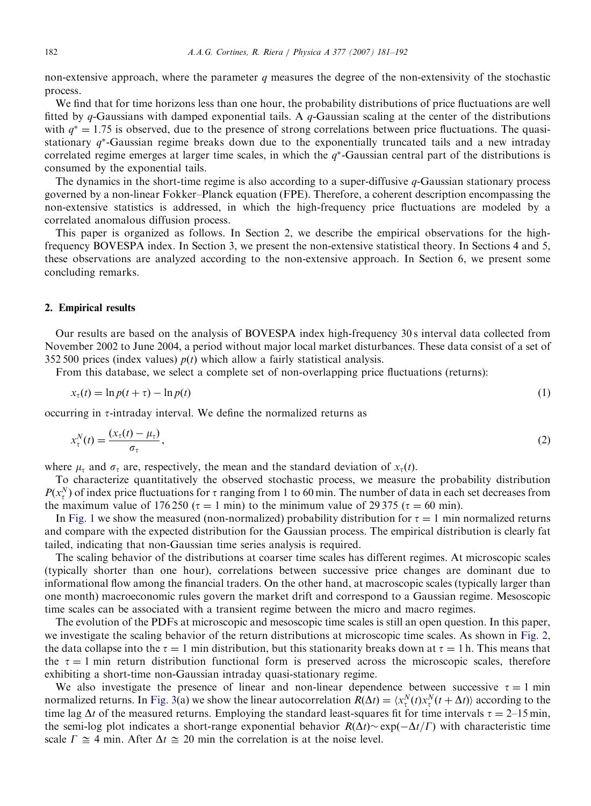non-extensive approach, where the parameter q measures the degree of the non-extensivity of the stochastic process.

We find that for time horizons less than one hour, the probability distributions of price fluctuations are well fitted by q-Gaussians with damped exponential tails. A q-Gaussian scaling at the center of the distributions with  $q^* = 1.75$  is observed, due to the presence of strong correlations between price fluctuations. The quasistationary  $q^*$ -Gaussian regime breaks down due to the exponentially truncated tails and a new intraday correlated regime emerges at larger time scales, in which the  $q^*$ -Gaussian central part of the distributions is consumed by the exponential tails.

The dynamics in the short-time regime is also according to a super-diffusive  $q$ -Gaussian stationary process governed by a non-linear Fokker–Planck equation (FPE). Therefore, a coherent description encompassing the non-extensive statistics is addressed, in which the high-frequency price fluctuations are modeled by a correlated anomalous diffusion process.

This paper is organized as follows. In Section 2, we describe the empirical observations for the highfrequency BOVESPA index. In Section 3, we present the non-extensive statistical theory. In Sections 4 and 5, these observations are analyzed according to the non-extensive approach. In Section 6, we present some concluding remarks.

### 2. Empirical results

Our results are based on the analysis of BOVESPA index high-frequency 30 s interval data collected from November 2002 to June 2004, a period without major local market disturbances. These data consist of a set of 352 500 prices (index values)  $p(t)$  which allow a fairly statistical analysis.

From this database, we select a complete set of non-overlapping price fluctuations (returns):

$$
x_{\tau}(t) = \ln p(t + \tau) - \ln p(t) \tag{1}
$$

occurring in  $\tau$ -intraday interval. We define the normalized returns as

$$
x_{\tau}^{N}(t) = \frac{(x_{\tau}(t) - \mu_{\tau})}{\sigma_{\tau}},
$$
\n(2)

where  $\mu_{\tau}$  and  $\sigma_{\tau}$  are, respectively, the mean and the standard deviation of  $x_{\tau}(t)$ .

To characterize quantitatively the observed stochastic process, we measure the probability distribution  $P(x_\tau^N)$  of index price fluctuations for  $\tau$  ranging from 1 to 60 min. The number of data in each set decreases from the maximum value of 176 250 ( $\tau = 1$  min) to the minimum value of 29 375 ( $\tau = 60$  min).

In [Fig. 1](#page--1-0) we show the measured (non-normalized) probability distribution for  $\tau = 1$  min normalized returns and compare with the expected distribution for the Gaussian process. The empirical distribution is clearly fat tailed, indicating that non-Gaussian time series analysis is required.

The scaling behavior of the distributions at coarser time scales has different regimes. At microscopic scales (typically shorter than one hour), correlations between successive price changes are dominant due to informational flow among the financial traders. On the other hand, at macroscopic scales (typically larger than one month) macroeconomic rules govern the market drift and correspond to a Gaussian regime. Mesoscopic time scales can be associated with a transient regime between the micro and macro regimes.

The evolution of the PDFs at microscopic and mesoscopic time scales is still an open question. In this paper, we investigate the scaling behavior of the return distributions at microscopic time scales. As shown in [Fig. 2,](#page--1-0) the data collapse into the  $\tau = 1$  min distribution, but this stationarity breaks down at  $\tau = 1$  h. This means that the  $\tau = 1$  min return distribution functional form is preserved across the microscopic scales, therefore exhibiting a short-time non-Gaussian intraday quasi-stationary regime.

We also investigate the presence of linear and non-linear dependence between successive  $\tau = 1$  min normalized returns. In [Fig. 3\(](#page--1-0)a) we show the linear autocorrelation  $R(\Delta t) = \langle x_\tau^N(t) x_\tau^N(t + \Delta t) \rangle$  according to the time lag  $\Delta t$  of the measured returns. Employing the standard least-squares fit for time intervals  $\tau = 2{\text -}15 \text{ min}$ , the semi-log plot indicates a short-range exponential behavior  $R(\Delta t) \sim \exp(-\Delta t/\Gamma)$  with characteristic time scale  $\Gamma \cong 4$  min. After  $\Delta t \cong 20$  min the correlation is at the noise level.